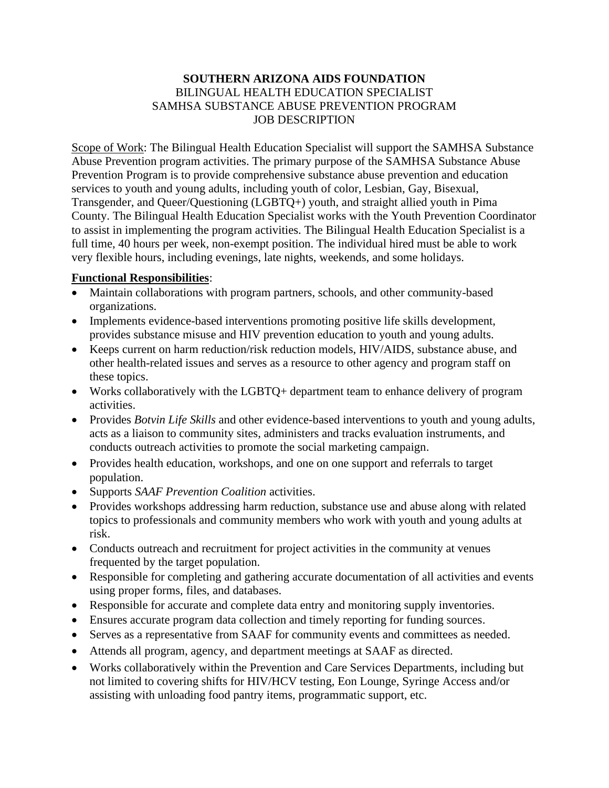## **SOUTHERN ARIZONA AIDS FOUNDATION** BILINGUAL HEALTH EDUCATION SPECIALIST SAMHSA SUBSTANCE ABUSE PREVENTION PROGRAM JOB DESCRIPTION

Scope of Work: The Bilingual Health Education Specialist will support the SAMHSA Substance Abuse Prevention program activities. The primary purpose of the SAMHSA Substance Abuse Prevention Program is to provide comprehensive substance abuse prevention and education services to youth and young adults, including youth of color, Lesbian, Gay, Bisexual, Transgender, and Queer/Questioning (LGBTQ+) youth, and straight allied youth in Pima County. The Bilingual Health Education Specialist works with the Youth Prevention Coordinator to assist in implementing the program activities. The Bilingual Health Education Specialist is a full time, 40 hours per week, non-exempt position. The individual hired must be able to work very flexible hours, including evenings, late nights, weekends, and some holidays.

## **Functional Responsibilities**:

- Maintain collaborations with program partners, schools, and other community-based organizations.
- Implements evidence-based interventions promoting positive life skills development, provides substance misuse and HIV prevention education to youth and young adults.
- Keeps current on harm reduction/risk reduction models, HIV/AIDS, substance abuse, and other health-related issues and serves as a resource to other agency and program staff on these topics.
- Works collaboratively with the LGBTQ+ department team to enhance delivery of program activities.
- Provides *Botvin Life Skills* and other evidence-based interventions to youth and young adults, acts as a liaison to community sites, administers and tracks evaluation instruments, and conducts outreach activities to promote the social marketing campaign.
- Provides health education, workshops, and one on one support and referrals to target population.
- Supports *SAAF Prevention Coalition* activities.
- Provides workshops addressing harm reduction, substance use and abuse along with related topics to professionals and community members who work with youth and young adults at risk.
- Conducts outreach and recruitment for project activities in the community at venues frequented by the target population.
- Responsible for completing and gathering accurate documentation of all activities and events using proper forms, files, and databases.
- Responsible for accurate and complete data entry and monitoring supply inventories.
- Ensures accurate program data collection and timely reporting for funding sources.
- Serves as a representative from SAAF for community events and committees as needed.
- Attends all program, agency, and department meetings at SAAF as directed.
- Works collaboratively within the Prevention and Care Services Departments, including but not limited to covering shifts for HIV/HCV testing, Eon Lounge, Syringe Access and/or assisting with unloading food pantry items, programmatic support, etc.